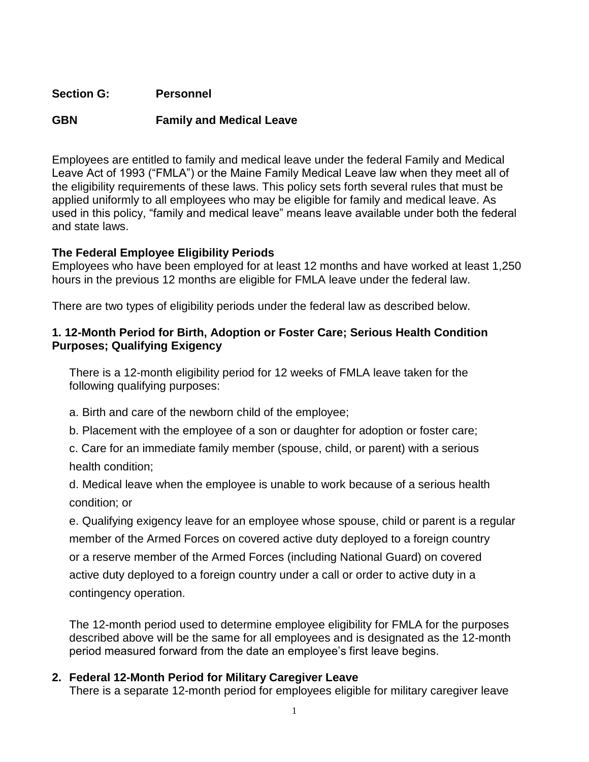## **Section G: Personnel**

# **GBN Family and Medical Leave**

Employees are entitled to family and medical leave under the federal Family and Medical Leave Act of 1993 ("FMLA") or the Maine Family Medical Leave law when they meet all of the eligibility requirements of these laws. This policy sets forth several rules that must be applied uniformly to all employees who may be eligible for family and medical leave. As used in this policy, "family and medical leave" means leave available under both the federal and state laws.

### **The Federal Employee Eligibility Periods**

Employees who have been employed for at least 12 months and have worked at least 1,250 hours in the previous 12 months are eligible for FMLA leave under the federal law.

There are two types of eligibility periods under the federal law as described below.

## **1. 12-Month Period for Birth, Adoption or Foster Care; Serious Health Condition Purposes; Qualifying Exigency**

There is a 12-month eligibility period for 12 weeks of FMLA leave taken for the following qualifying purposes:

a. Birth and care of the newborn child of the employee;

b. Placement with the employee of a son or daughter for adoption or foster care;

c. Care for an immediate family member (spouse, child, or parent) with a serious health condition;

d. Medical leave when the employee is unable to work because of a serious health condition; or

e. Qualifying exigency leave for an employee whose spouse, child or parent is a regular member of the Armed Forces on covered active duty deployed to a foreign country or a reserve member of the Armed Forces (including National Guard) on covered active duty deployed to a foreign country under a call or order to active duty in a contingency operation.

The 12-month period used to determine employee eligibility for FMLA for the purposes described above will be the same for all employees and is designated as the 12-month period measured forward from the date an employee's first leave begins.

# **2. Federal 12-Month Period for Military Caregiver Leave**

There is a separate 12-month period for employees eligible for military caregiver leave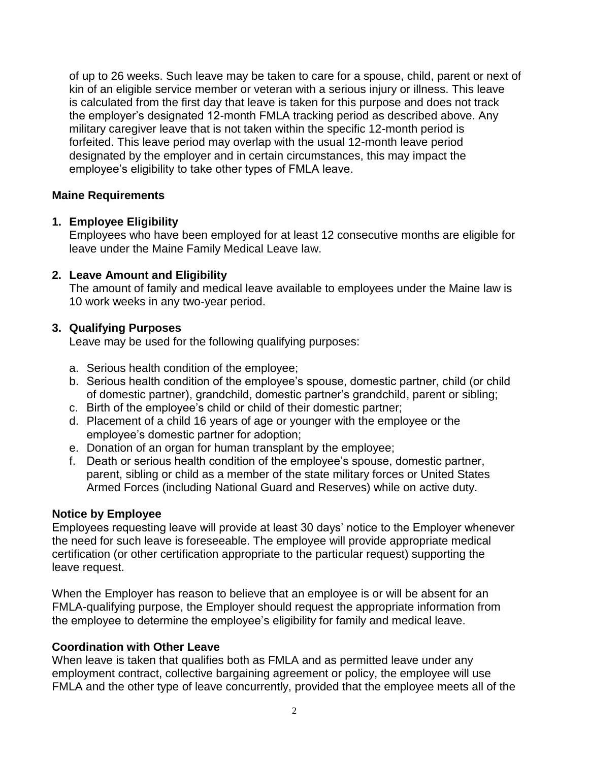of up to 26 weeks. Such leave may be taken to care for a spouse, child, parent or next of kin of an eligible service member or veteran with a serious injury or illness. This leave is calculated from the first day that leave is taken for this purpose and does not track the employer's designated 12-month FMLA tracking period as described above. Any military caregiver leave that is not taken within the specific 12-month period is forfeited. This leave period may overlap with the usual 12-month leave period designated by the employer and in certain circumstances, this may impact the employee's eligibility to take other types of FMLA leave.

### **Maine Requirements**

### **1. Employee Eligibility**

Employees who have been employed for at least 12 consecutive months are eligible for leave under the Maine Family Medical Leave law.

#### **2. Leave Amount and Eligibility**

The amount of family and medical leave available to employees under the Maine law is 10 work weeks in any two-year period.

### **3. Qualifying Purposes**

Leave may be used for the following qualifying purposes:

- a. Serious health condition of the employee;
- b. Serious health condition of the employee's spouse, domestic partner, child (or child of domestic partner), grandchild, domestic partner's grandchild, parent or sibling;
- c. Birth of the employee's child or child of their domestic partner;
- d. Placement of a child 16 years of age or younger with the employee or the employee's domestic partner for adoption;
- e. Donation of an organ for human transplant by the employee;
- f. Death or serious health condition of the employee's spouse, domestic partner, parent, sibling or child as a member of the state military forces or United States Armed Forces (including National Guard and Reserves) while on active duty.

#### **Notice by Employee**

Employees requesting leave will provide at least 30 days' notice to the Employer whenever the need for such leave is foreseeable. The employee will provide appropriate medical certification (or other certification appropriate to the particular request) supporting the leave request.

When the Employer has reason to believe that an employee is or will be absent for an FMLA-qualifying purpose, the Employer should request the appropriate information from the employee to determine the employee's eligibility for family and medical leave.

### **Coordination with Other Leave**

When leave is taken that qualifies both as FMLA and as permitted leave under any employment contract, collective bargaining agreement or policy, the employee will use FMLA and the other type of leave concurrently, provided that the employee meets all of the